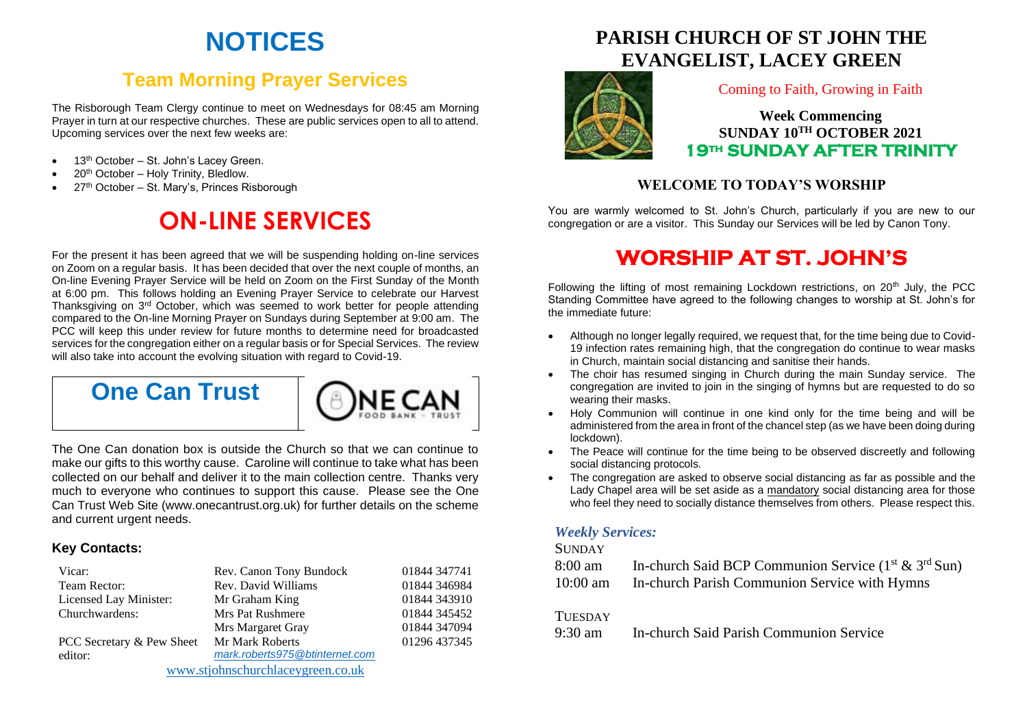# **NOTICES**

## **Team Morning Prayer Services**

The Risborough Team Clergy continue to meet on Wednesdays for 08:45 am Morning Prayer in turn at our respective churches. These are public services open to all to attend. Upcoming services over the next few weeks are:

- 13<sup>th</sup> October St. John's Lacey Green.
- 20<sup>th</sup> October Holy Trinity, Bledlow.
- 27<sup>th</sup> October St. Mary's, Princes Risborough

# **ON-LINE SERVICES**

For the present it has been agreed that we will be suspending holding on-line services on Zoom on a regular basis. It has been decided that over the next couple of months, an On-line Evening Prayer Service will be held on Zoom on the First Sunday of the Month at 6:00 pm. This follows holding an Evening Prayer Service to celebrate our Harvest Thanksgiving on 3<sup>rd</sup> October, which was seemed to work better for people attending compared to the On-line Morning Prayer on Sundays during September at 9:00 am. The PCC will keep this under review for future months to determine need for broadcasted services for the congregation either on a regular basis or for Special Services. The review will also take into account the evolving situation with regard to Covid-19.

## **One Can Trust**



The One Can donation box is outside the Church so that we can continue to make our gifts to this worthy cause. Caroline will continue to take what has been collected on our behalf and deliver it to the main collection centre. Thanks very much to everyone who continues to support this cause. Please see the One Can Trust Web Site (www.onecantrust.org.uk) for further details on the scheme and current urgent needs.

#### **Key Contacts:**

| Vicar:                            | Rev. Canon Tony Bundock        | 01844 347741 |
|-----------------------------------|--------------------------------|--------------|
| Team Rector:                      | Rev. David Williams            | 01844 346984 |
| Licensed Lay Minister:            | Mr Graham King                 | 01844 343910 |
| Churchwardens:                    | Mrs Pat Rushmere               | 01844 345452 |
|                                   | Mrs Margaret Gray              | 01844 347094 |
| PCC Secretary & Pew Sheet         | Mr Mark Roberts                | 01296 437345 |
| editor:                           | mark.roberts975@btinternet.com |              |
| www.stjohnschurchlaceygreen.co.uk |                                |              |

## **PARISH CHURCH OF ST JOHN THE EVANGELIST, LACEY GREEN**



#### Coming to Faith, Growing in Faith

**Week Commencing SUNDAY 10TH OCTOBER 2021 19th SUNDAY AFTER TRINITY** 

### **WELCOME TO TODAY'S WORSHIP**

You are warmly welcomed to St. John's Church, particularly if you are new to our congregation or are a visitor. This Sunday our Services will be led by Canon Tony.

# **WORSHIP AT ST. JOHN'S**

Following the lifting of most remaining Lockdown restrictions, on  $20<sup>th</sup>$  July, the PCC Standing Committee have agreed to the following changes to worship at St. John's for the immediate future:

- Although no longer legally required, we request that, for the time being due to Covid-19 infection rates remaining high, that the congregation do continue to wear masks in Church, maintain social distancing and sanitise their hands.
- The choir has resumed singing in Church during the main Sunday service. The congregation are invited to join in the singing of hymns but are requested to do so wearing their masks.
- Holy Communion will continue in one kind only for the time being and will be administered from the area in front of the chancel step (as we have been doing during lockdown).
- The Peace will continue for the time being to be observed discreetly and following social distancing protocols.
- The congregation are asked to observe social distancing as far as possible and the Lady Chapel area will be set aside as a mandatory social distancing area for those who feel they need to socially distance themselves from others. Please respect this.

### *Weekly Services:*

#### **SUNDAY**

| 8:00 am    | In-church Said BCP Communion Service $(1st & 3rd Sun)$ |
|------------|--------------------------------------------------------|
| $10:00$ am | In-church Parish Communion Service with Hymns          |

#### **TUESDAY**

9:30 am In-church Said Parish Communion Service